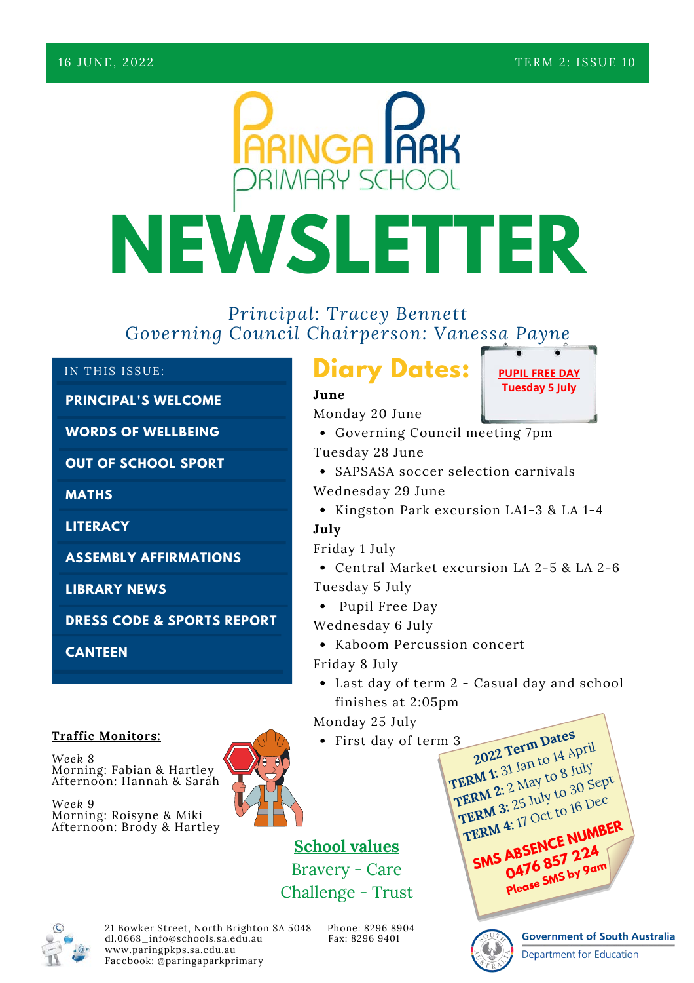

### *Principal: Tracey Bennett Governing Council Chairperson: Vanessa Payne*

### IN THIS ISSUE:

### **PRINCIPAL'S WELCOME**

**WORDS OF WELLBEING**

**OUT OF SCHOOL SPORT**

**MATHS**

**LITERACY**

**ASSEMBLY AFFIRMATIONS**

**LIBRARY NEWS**

**DRESS CODE & SPORTS REPORT**

**CANTEEN**

### **Traffic Monitors:**

*Week 8* Morning: Fabian & Hartley Afternoon: Hannah & Sarah

*Week 9* Morning: Roisyne & Miki Afternoon: Brody & Hartley



### **School values** Bravery - Care Challenge - Trust

21 Bowker Street, North Brighton SA 5048 Phone: 8296 8904<br>dl.0668 info@schools.sa.edu.au Fax: 8296 9401 dl.0668\_info@schools.sa.edu.au [www.paringpkps.sa.edu.au](http://www.paringpkps.sa.edu.au/) Facebook: @paringaparkprimary

Kaboom Percussion concert

**PUPIL FREE DAY Tuesday 5 July**

Last day of term 2 - Casual day and school finishes at 2:05pm

Monday 25 July

Friday 8 July

First day of term 3 **TERM 1:** 31 Jan to 14 April

TERM 2: 2 May to 8 July **TERM 3:** 25 July to 30 Sept **TERM 4:** 17 Oct to 16 Dec **SMS ABSENCE NUMBER 0476 857 224 Please SMS by 9am**

**2022 Term Dates**



**Government of South Australia** 

**Department for Education** 

Governing Council meeting 7pm • SAPSASA soccer selection carnivals Tuesday 28 June

Wednesday 29 June

**Diary Dates:**

Monday 20 June

• Kingston Park excursion LA1-3 & LA 1-4

**July**

**June**

Friday 1 July

Central Market excursion LA 2-5 & LA 2-6 Tuesday 5 July

• Pupil Free Day

Wednesday 6 July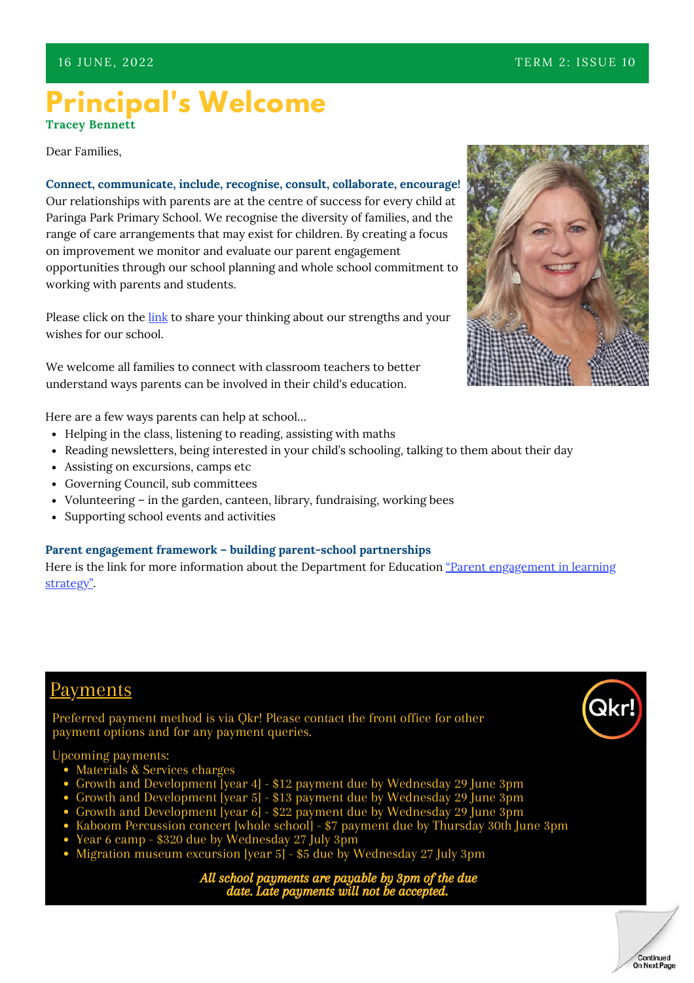### **Principal's Welcome Tracey Bennett**

Dear Families,

**Connect, communicate, include, recognise, consult, collaborate, encourage!** Our relationships with parents are at the centre of success for every child at Paringa Park Primary School. We recognise the diversity of families, and the range of care arrangements that may exist for children. By creating a focus on improvement we monitor and evaluate our parent engagement opportunities through our school planning and whole school commitment to working with parents and students.

Please click on the [link](https://forms.office.com/r/hHLgbLsbGN) to share your thinking about our strengths and your wishes for our school.

We welcome all families to connect with classroom teachers to better understand ways parents can be involved in their child's education.

Here are a few ways parents can help at school…

- Helping in the class, listening to reading, assisting with maths
- Reading newsletters, being interested in your child's schooling, talking to them about their day
- Assisting on excursions, camps etc
- Governing Council, sub committees
- Volunteering in the garden, canteen, library, fundraising, working bees
- Supporting school events and activities

### **Parent engagement framework – building parent-school partnerships**

Here is the link for more information about the Department for Education ["Parent engagement in learning](https://www.education.sa.gov.au/sites/default/files/parent-engagement-in-learning-strategy.pdf) [strategy"](https://www.education.sa.gov.au/sites/default/files/parent-engagement-in-learning-strategy.pdf).

### Payments

Preferred payment method is via Qkr! Please contact the front office for other payment options and for any payment queries.

### Upcoming payments:

- Materials & Services charges
- Growth and Development [year 4] \$12 payment due by Wednesday 29 June 3pm
- Growth and Development [year 5] \$13 payment due by Wednesday 29 June 3pm
- Growth and Development [year 6] \$22 payment due by Wednesday 29 June 3pm
- Kaboom Percussion concert [whole school] \$7 payment due by Thursday 30th June 3pm
- Year 6 camp \$320 due by Wednesday 27 July 3pm
- Migration museum excursion [year 5] \$5 due by Wednesday 27 July 3pm

All school payments are payable by 3pm of the due date. Late payments will not



Qkı

Continued On Next Page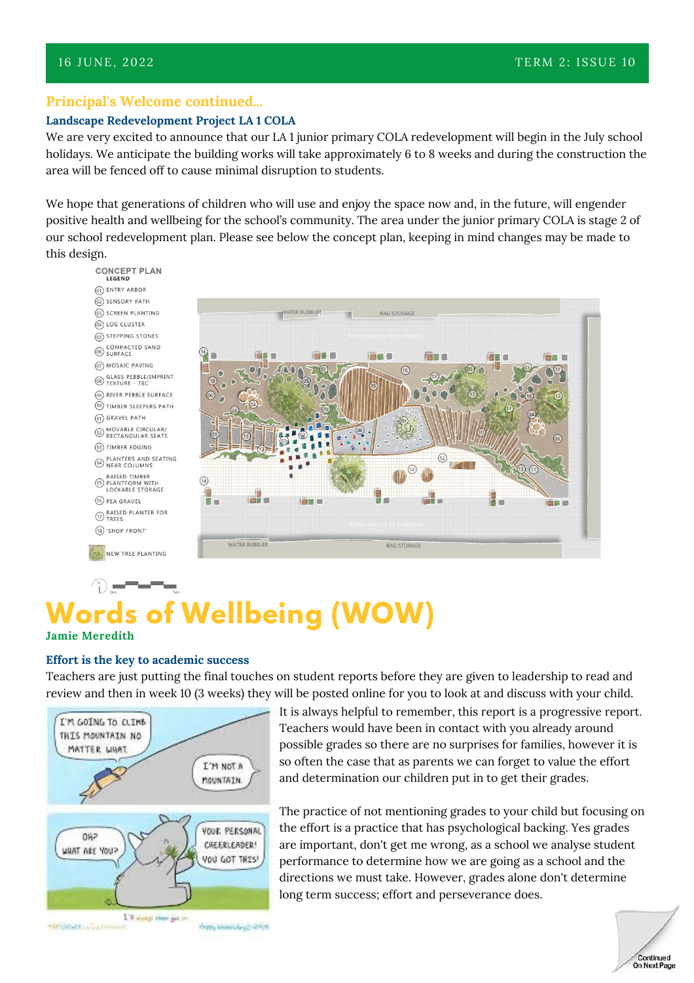### **Principal's Welcome continued...**

### **Landscape Redevelopment Project LA 1 COLA**

We are very excited to announce that our LA 1 junior primary COLA redevelopment will begin in the July school holidays. We anticipate the building works will take approximately 6 to 8 weeks and during the construction the area will be fenced off to cause minimal disruption to students.

We hope that generations of children who will use and enjoy the space now and, in the future, will engender positive health and wellbeing for the school's community. The area under the junior primary COLA is stage 2 of our school redevelopment plan. Please see below the concept plan, keeping in mind changes may be made to this design.



### **Words of Wellbeing (WOW) Jamie Meredith**

### **Effort is the key to academic success**

Teachers are just putting the final touches on student reports before they are given to leadership to read and review and then in week 10 (3 weeks) they will be posted online for you to look at and discuss with your child.



It is always helpful to remember, this report is a progressive report. Teachers would have been in contact with you already around possible grades so there are no surprises for families, however it is so often the case that as parents we can forget to value the effort and determination our children put in to get their grades.

The practice of not mentioning grades to your child but focusing on the effort is a practice that has psychological backing. Yes grades are important, don't get me wrong, as a school we analyse student performance to determine how we are going as a school and the directions we must take. However, grades alone don't determine long term success; effort and perseverance does.

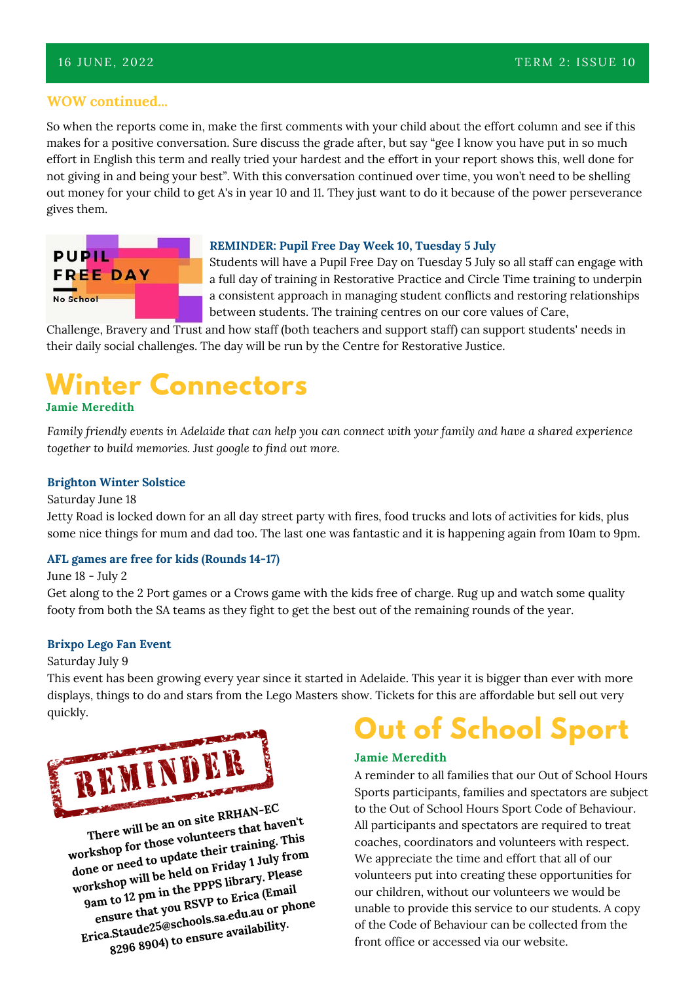### **WOW continued...**

So when the reports come in, make the first comments with your child about the effort column and see if this makes for a positive conversation. Sure discuss the grade after, but say "gee I know you have put in so much effort in English this term and really tried your hardest and the effort in your report shows this, well done for not giving in and being your best". With this conversation continued over time, you won't need to be shelling out money for your child to get A's in year 10 and 11. They just want to do it because of the power perseverance gives them.



#### **REMINDER: Pupil Free Day Week 10, Tuesday 5 July**

Students will have a Pupil Free Day on Tuesday 5 July so all staff can engage with a full day of training in Restorative Practice and Circle Time training to underpin a consistent approach in managing student conflicts and restoring relationships between students. The training centres on our core values of Care,

Challenge, Bravery and Trust and how staff (both teachers and support staff) can support students' needs in their daily social challenges. The day will be run by the Centre for Restorative Justice.

### **Winter Connectors Jamie Meredith**

*Family friendly events in Adelaide that can help you can connect with your family and have a shared experience together to build memories. Just google to find out more.*

### **Brighton Winter Solstice**

#### Saturday June 18

Jetty Road is locked down for an all day street party with fires, food trucks and lots of activities for kids, plus some nice things for mum and dad too. The last one was fantastic and it is happening again from 10am to 9pm.

#### **AFL games are free for kids (Rounds 14-17)**

June 18 - July 2

Get along to the 2 Port games or a Crows game with the kids free of charge. Rug up and watch some quality footy from both the SA teams as they fight to get the best out of the remaining rounds of the year.

### **Brixpo Lego Fan Event**

### Saturday July 9

This event has been growing every year since it started in Adelaide. This year it is bigger than ever with more displays, things to do and stars from the Lego Masters show. Tickets for this are affordable but sell out very quickly.



**There will be an on site RRHAN-EC workshop for those volunteers that haven't done or need to update their training. This workshop will be held on Friday 1 July from 9am to 12 pm in the PPPS library. Please ensure that you RSVP to Erica (Email Erica.Staude25@schools.sa.edu.au or phone 8296 8904) to ensure availability.**

# **Out of School Sport**

### **Jamie Meredith**

A reminder to all families that our Out of School Hours Sports participants, families and spectators are subject to the Out of School Hours Sport Code of Behaviour. All participants and spectators are required to treat coaches, coordinators and volunteers with respect. We appreciate the time and effort that all of our volunteers put into creating these opportunities for our children, without our volunteers we would be unable to provide this service to our students. A copy of the Code of Behaviour can be collected from the front office or accessed via our website.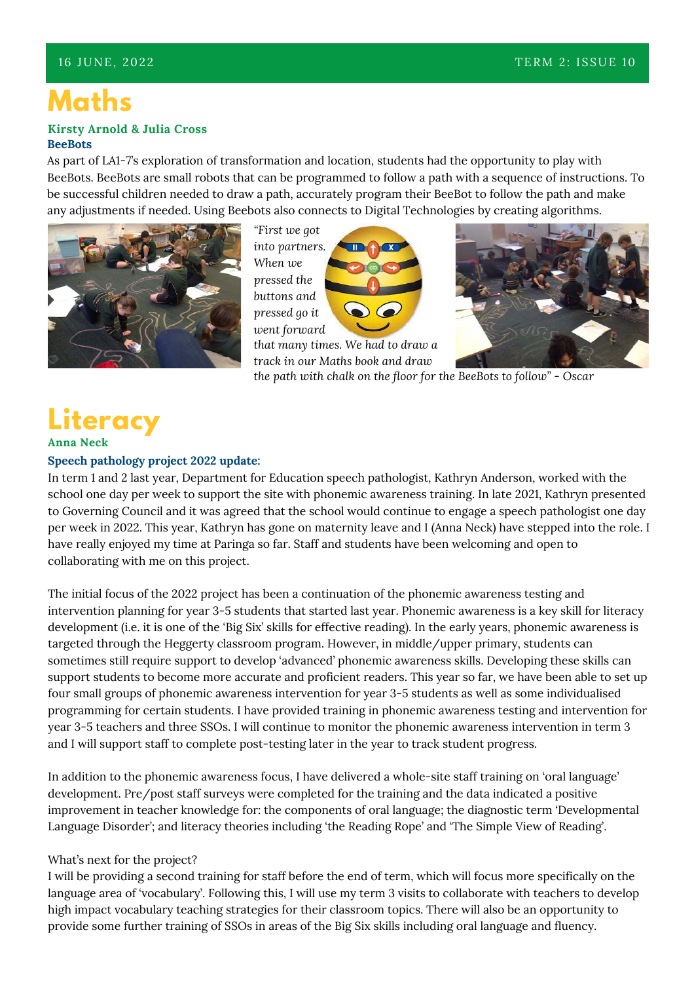## **Maths**

#### **BeeBots Kirsty Arnold & Julia Cross**

As part of LA1-7's exploration of transformation and location, students had the opportunity to play with BeeBots. BeeBots are small robots that can be programmed to follow a path with a sequence of instructions. To be successful children needed to draw a path, accurately program their BeeBot to follow the path and make any adjustments if needed. Using Beebots also connects to Digital Technologies by creating algorithms.



*"First we got into partners. When we pressed the buttons and pressed go it went forward*



*that many times. We had to draw a track in our Maths book and draw*



*the path with chalk on the floor for the BeeBots to follow" - Oscar*

### **Literacy Anna Neck**

### **Speech pathology project 2022 update:**

In term 1 and 2 last year, Department for Education speech pathologist, Kathryn Anderson, worked with the school one day per week to support the site with phonemic awareness training. In late 2021, Kathryn presented to Governing Council and it was agreed that the school would continue to engage a speech pathologist one day per week in 2022. This year, Kathryn has gone on maternity leave and I (Anna Neck) have stepped into the role. I have really enjoyed my time at Paringa so far. Staff and students have been welcoming and open to collaborating with me on this project.

The initial focus of the 2022 project has been a continuation of the phonemic awareness testing and intervention planning for year 3-5 students that started last year. Phonemic awareness is a key skill for literacy development (i.e. it is one of the 'Big Six' skills for effective reading). In the early years, phonemic awareness is targeted through the Heggerty classroom program. However, in middle/upper primary, students can sometimes still require support to develop 'advanced' phonemic awareness skills. Developing these skills can support students to become more accurate and proficient readers. This year so far, we have been able to set up four small groups of phonemic awareness intervention for year 3-5 students as well as some individualised programming for certain students. I have provided training in phonemic awareness testing and intervention for year 3-5 teachers and three SSOs. I will continue to monitor the phonemic awareness intervention in term 3 and I will support staff to complete post-testing later in the year to track student progress.

In addition to the phonemic awareness focus, I have delivered a whole-site staff training on 'oral language' development. Pre/post staff surveys were completed for the training and the data indicated a positive improvement in teacher knowledge for: the components of oral language; the diagnostic term 'Developmental Language Disorder'; and literacy theories including 'the Reading Rope' and 'The Simple View of Reading'.

### What's next for the project?

I will be providing a second training for staff before the end of term, which will focus more specifically on the language area of 'vocabulary'. Following this, I will use my term 3 visits to collaborate with teachers to develop high impact vocabulary teaching strategies for their classroom topics. There will also be an opportunity to provide some further training of SSOs in areas of the Big Six skills including oral language and fluency.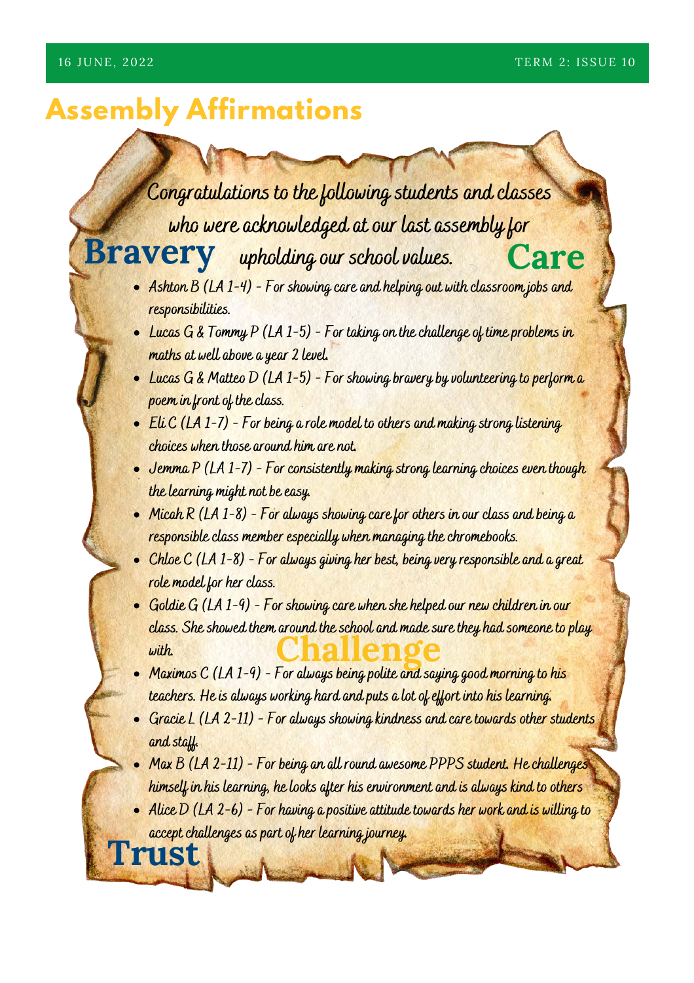# **Assembly Affirmations**

**Trust**

# **Congratulations to the following students and classes who were acknowledged at our last assembly for** Bravery upholding our school values. Care

- **Ashton B (LA 1-4) For showing care and helping out with classroom jobs and responsibilities.**
- **Lucas G & Tommy P (LA 1-5) For taking on the challenge of time problems in maths at well above a year 2 level.**
- **Lucas G & Matteo D (LA 1-5) For showing bravery by volunteering to perform a poem in front of the class.**
- **Eli C (LA 1-7) For being a role model to others and making strong listening choices when those around him are not.**
- **•** Jemma P (LA 1-7) For consistently making strong learning choices even though **the learning might not be easy.**
- **Micah R (LA 1-8) For always showing care for others in our class and being a responsible class member especially when managing the chromebooks.**
- **Chloe C (LA 1-8) For always giving her best, being very responsible and a great role model for her class.**
- **Goldie G (LA 1-9) For showing care when she helped our new children in our class. She showed them around the school and made sure they had someone to play with. Challenge**
- **Maximos C (LA 1-9) For always being polite and saying good morning to his teachers. He is always working hard and puts a lot of effort into his learning.**
- **Gracie L (LA 2-11) For always showing kindness and care towards other students and staff.**
- **Max B (LA 2-11) For being an all round awesome PPPS student. He challenges himself in his learning, he looks after his environment and is always kind to others**
- **Alice D (LA 2-6) For having a positive attitude towards her work and is willing to accept challenges as part of her learning journey.**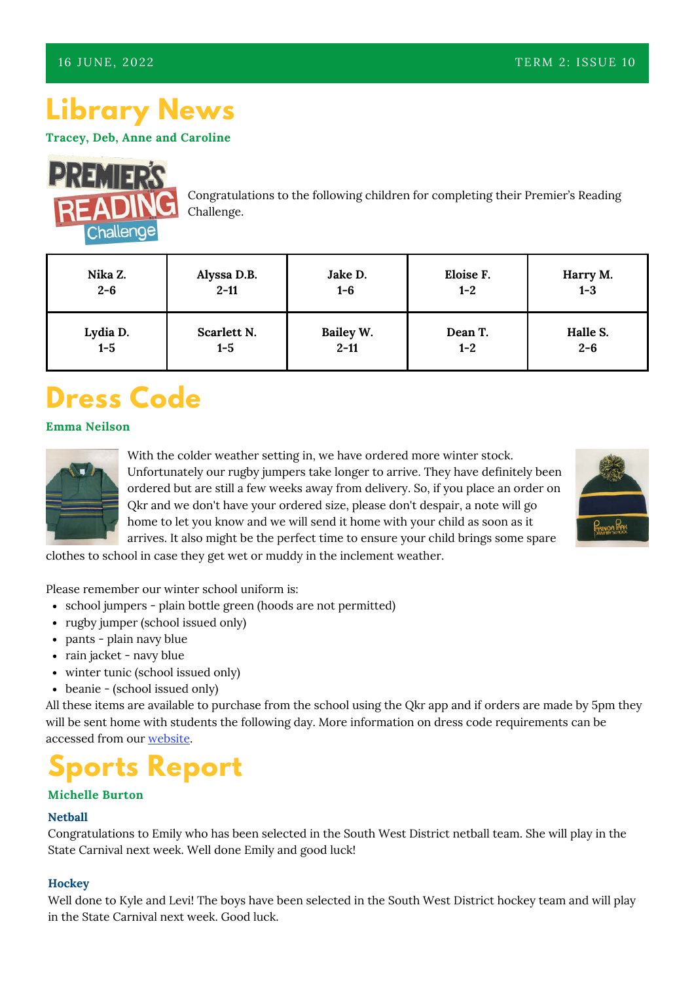# **Library News**

**Tracey, Deb, Anne and Caroline**



Congratulations to the following children for completing their Premier's Reading Challenge.

| Nika Z.         | Alyssa D.B. | Jake D.   | Eloise F. | Harry M. |
|-----------------|-------------|-----------|-----------|----------|
| $2 - 6$         | $2 - 11$    | $1-6$     | $1 - 2$   | $1 - 3$  |
| Lydia D.<br>1-5 | Scarlett N. | Bailey W. | Dean T.   | Halle S. |
|                 | $1 - 5$     | $2 - 11$  | $1 - 2$   | $2 - 6$  |

# **Dress Code**

### **Emma Neilson**



With the colder weather setting in, we have ordered more winter stock. Unfortunately our rugby jumpers take longer to arrive. They have definitely been ordered but are still a few weeks away from delivery. So, if you place an order on Qkr and we don't have your ordered size, please don't despair, a note will go home to let you know and we will send it home with your child as soon as it arrives. It also might be the perfect time to ensure your child brings some spare



- school jumpers plain bottle green (hoods are not permitted) Please remember our winter school uniform is:
- rugby jumper (school issued only)
- pants plain navy blue
- rain jacket navy blue
- winter tunic (school issued only)
- beanie (school issued only)

All these items are available to purchase from the school using the Qkr app and if orders are made by 5pm they will be sent home with students the following day. More information on dress code requirements can be accessed from our [website.](https://paringpkps.sa.edu.au/wp-content/uploads/2020/10/Dress-Code-Policies-and-Procedures.pdf)

# **Sports Report**

### **Michelle Burton**

### **Netball**

Congratulations to Emily who has been selected in the South West District netball team. She will play in the State Carnival next week. Well done Emily and good luck!

### **Hockey**

Well done to Kyle and Levi! The boys have been selected in the South West District hockey team and will play in the State Carnival next week. Good luck.